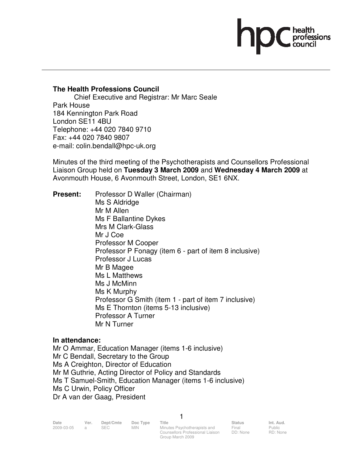# health<br>professions

## **The Health Professions Council**

 Chief Executive and Registrar: Mr Marc Seale Park House 184 Kennington Park Road London SE11 4BU Telephone: +44 020 7840 9710 Fax: +44 020 7840 9807 e-mail: colin.bendall@hpc-uk.org

Minutes of the third meeting of the Psychotherapists and Counsellors Professional Liaison Group held on **Tuesday 3 March 2009** and **Wednesday 4 March 2009** at Avonmouth House, 6 Avonmouth Street, London, SE1 6NX.

**Present:** Professor D Waller (Chairman) Ms S Aldridge Mr M Allen Ms F Ballantine Dykes Mrs M Clark-Glass Mr J Coe Professor M Cooper Professor P Fonagy (item 6 - part of item 8 inclusive) Professor J Lucas Mr B Magee Ms L Matthews Ms J McMinn Ms K Murphy Professor G Smith (item 1 - part of item 7 inclusive) Ms E Thornton (items 5-13 inclusive) Professor A Turner Mr N Turner

## **In attendance:**

Mr O Ammar, Education Manager (items 1-6 inclusive) Mr C Bendall, Secretary to the Group Ms A Creighton, Director of Education Mr M Guthrie, Acting Director of Policy and Standards Ms T Samuel-Smith, Education Manager (items 1-6 inclusive) Ms C Urwin, Policy Officer Dr A van der Gaag, President

Group March 2009

Final DD: None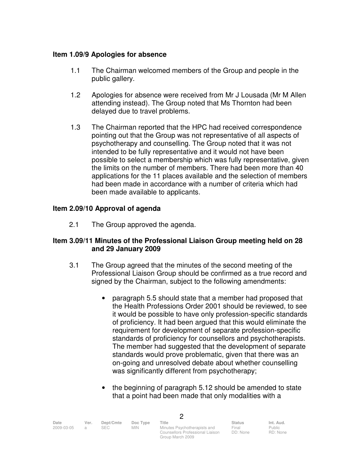# **Item 1.09/9 Apologies for absence**

- 1.1 The Chairman welcomed members of the Group and people in the public gallery.
- 1.2 Apologies for absence were received from Mr J Lousada (Mr M Allen attending instead). The Group noted that Ms Thornton had been delayed due to travel problems.
- 1.3 The Chairman reported that the HPC had received correspondence pointing out that the Group was not representative of all aspects of psychotherapy and counselling. The Group noted that it was not intended to be fully representative and it would not have been possible to select a membership which was fully representative, given the limits on the number of members. There had been more than 40 applications for the 11 places available and the selection of members had been made in accordance with a number of criteria which had been made available to applicants.

# **Item 2.09/10 Approval of agenda**

2.1 The Group approved the agenda.

# **Item 3.09/11 Minutes of the Professional Liaison Group meeting held on 28 and 29 January 2009**

- 3.1 The Group agreed that the minutes of the second meeting of the Professional Liaison Group should be confirmed as a true record and signed by the Chairman, subject to the following amendments:
	- paragraph 5.5 should state that a member had proposed that the Health Professions Order 2001 should be reviewed, to see it would be possible to have only profession-specific standards of proficiency. It had been argued that this would eliminate the requirement for development of separate profession-specific standards of proficiency for counsellors and psychotherapists. The member had suggested that the development of separate standards would prove problematic, given that there was an on-going and unresolved debate about whether counselling was significantly different from psychotherapy;
	- the beginning of paragraph 5.12 should be amended to state that a point had been made that only modalities with a

| Date       | Ver. | Dept/Cmte | Doc Type   | <b>Title</b>                     | <b>Status</b> | Int. Aud. |
|------------|------|-----------|------------|----------------------------------|---------------|-----------|
| 2009-03-05 |      | SEC.      | <b>MIN</b> | Minutes Psychotherapists and     | Final         | Public    |
|            |      |           |            | Counsellors Professional Liaison | DD: None      | RD: None  |

Group March 2009

 $\mathfrak{O}$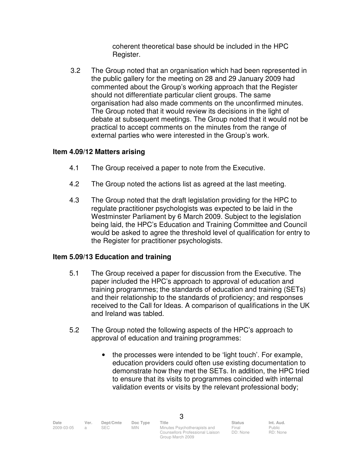coherent theoretical base should be included in the HPC Register.

 3.2 The Group noted that an organisation which had been represented in the public gallery for the meeting on 28 and 29 January 2009 had commented about the Group's working approach that the Register should not differentiate particular client groups. The same organisation had also made comments on the unconfirmed minutes. The Group noted that it would review its decisions in the light of debate at subsequent meetings. The Group noted that it would not be practical to accept comments on the minutes from the range of external parties who were interested in the Group's work.

# **Item 4.09/12 Matters arising**

- 4.1 The Group received a paper to note from the Executive.
- 4.2 The Group noted the actions list as agreed at the last meeting.
- 4.3 The Group noted that the draft legislation providing for the HPC to regulate practitioner psychologists was expected to be laid in the Westminster Parliament by 6 March 2009. Subject to the legislation being laid, the HPC's Education and Training Committee and Council would be asked to agree the threshold level of qualification for entry to the Register for practitioner psychologists.

## **Item 5.09/13 Education and training**

- 5.1 The Group received a paper for discussion from the Executive. The paper included the HPC's approach to approval of education and training programmes; the standards of education and training (SETs) and their relationship to the standards of proficiency; and responses received to the Call for Ideas. A comparison of qualifications in the UK and Ireland was tabled.
- 5.2 The Group noted the following aspects of the HPC's approach to approval of education and training programmes:
	- the processes were intended to be 'light touch'. For example, education providers could often use existing documentation to demonstrate how they met the SETs. In addition, the HPC tried to ensure that its visits to programmes coincided with internal validation events or visits by the relevant professional body;

3

Group March 2009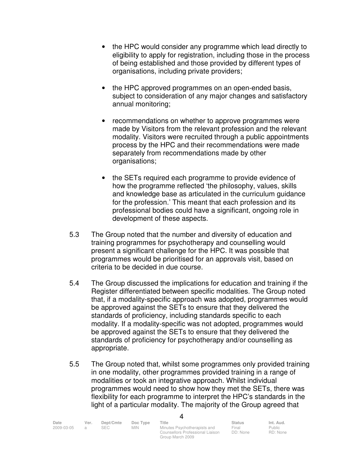- the HPC would consider any programme which lead directly to eligibility to apply for registration, including those in the process of being established and those provided by different types of organisations, including private providers;
- the HPC approved programmes on an open-ended basis, subject to consideration of any major changes and satisfactory annual monitoring;
- recommendations on whether to approve programmes were made by Visitors from the relevant profession and the relevant modality. Visitors were recruited through a public appointments process by the HPC and their recommendations were made separately from recommendations made by other organisations;
- the SETs required each programme to provide evidence of how the programme reflected 'the philosophy, values, skills and knowledge base as articulated in the curriculum guidance for the profession.' This meant that each profession and its professional bodies could have a significant, ongoing role in development of these aspects.
- 5.3 The Group noted that the number and diversity of education and training programmes for psychotherapy and counselling would present a significant challenge for the HPC. It was possible that programmes would be prioritised for an approvals visit, based on criteria to be decided in due course.
- 5.4 The Group discussed the implications for education and training if the Register differentiated between specific modalities. The Group noted that, if a modality-specific approach was adopted, programmes would be approved against the SETs to ensure that they delivered the standards of proficiency, including standards specific to each modality. If a modality-specific was not adopted, programmes would be approved against the SETs to ensure that they delivered the standards of proficiency for psychotherapy and/or counselling as appropriate.
- 5.5 The Group noted that, whilst some programmes only provided training in one modality, other programmes provided training in a range of modalities or took an integrative approach. Whilst individual programmes would need to show how they met the SETs, there was flexibility for each programme to interpret the HPC's standards in the light of a particular modality. The majority of the Group agreed that

| Date       | Ver. | Dept/Cmte | Doc Type | Title                            | Status   | Int. Aud.     |
|------------|------|-----------|----------|----------------------------------|----------|---------------|
| 2009-03-05 |      | SEC.      | MIN.     | Minutes Psychotherapists and     | Final    | <b>Public</b> |
|            |      |           |          | Counsellors Professional Liaison | DD: None | RD: None      |

Group March 2009

4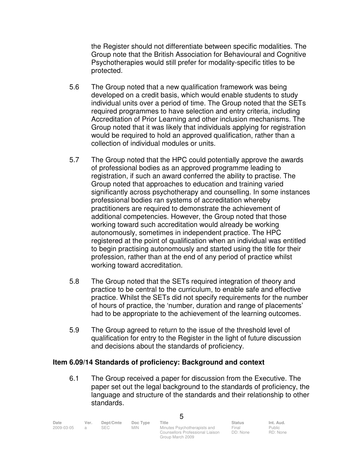the Register should not differentiate between specific modalities. The Group note that the British Association for Behavioural and Cognitive Psychotherapies would still prefer for modality-specific titles to be protected.

- 5.6 The Group noted that a new qualification framework was being developed on a credit basis, which would enable students to study individual units over a period of time. The Group noted that the SETs required programmes to have selection and entry criteria, including Accreditation of Prior Learning and other inclusion mechanisms. The Group noted that it was likely that individuals applying for registration would be required to hold an approved qualification, rather than a collection of individual modules or units.
- 5.7 The Group noted that the HPC could potentially approve the awards of professional bodies as an approved programme leading to registration, if such an award conferred the ability to practise. The Group noted that approaches to education and training varied significantly across psychotherapy and counselling. In some instances professional bodies ran systems of accreditation whereby practitioners are required to demonstrate the achievement of additional competencies. However, the Group noted that those working toward such accreditation would already be working autonomously, sometimes in independent practice. The HPC registered at the point of qualification when an individual was entitled to begin practising autonomously and started using the title for their profession, rather than at the end of any period of practice whilst working toward accreditation.
- 5.8 The Group noted that the SETs required integration of theory and practice to be central to the curriculum, to enable safe and effective practice. Whilst the SETs did not specify requirements for the number of hours of practice, the 'number, duration and range of placements' had to be appropriate to the achievement of the learning outcomes.
- 5.9 The Group agreed to return to the issue of the threshold level of qualification for entry to the Register in the light of future discussion and decisions about the standards of proficiency.

## **Item 6.09/14 Standards of proficiency: Background and context**

 6.1 The Group received a paper for discussion from the Executive. The paper set out the legal background to the standards of proficiency, the language and structure of the standards and their relationship to other standards.

| Date       | Ver. | Dept/Cmte | Doc Type   | Title                            | <b>Status</b> | Int. Aud. |
|------------|------|-----------|------------|----------------------------------|---------------|-----------|
| 2009-03-05 |      | SEC.      | <b>MIN</b> | Minutes Psychotherapists and     | Final         | Public    |
|            |      |           |            | Counsellors Professional Liaison | DD: None      | RD: None  |

Group March 2009

5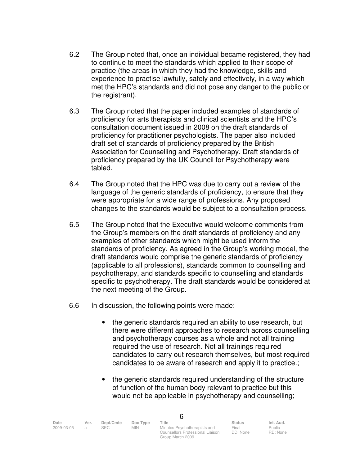- 6.2 The Group noted that, once an individual became registered, they had to continue to meet the standards which applied to their scope of practice (the areas in which they had the knowledge, skills and experience to practise lawfully, safely and effectively, in a way which met the HPC's standards and did not pose any danger to the public or the registrant).
- 6.3 The Group noted that the paper included examples of standards of proficiency for arts therapists and clinical scientists and the HPC's consultation document issued in 2008 on the draft standards of proficiency for practitioner psychologists. The paper also included draft set of standards of proficiency prepared by the British Association for Counselling and Psychotherapy. Draft standards of proficiency prepared by the UK Council for Psychotherapy were tabled.
- 6.4 The Group noted that the HPC was due to carry out a review of the language of the generic standards of proficiency, to ensure that they were appropriate for a wide range of professions. Any proposed changes to the standards would be subject to a consultation process.
- 6.5 The Group noted that the Executive would welcome comments from the Group's members on the draft standards of proficiency and any examples of other standards which might be used inform the standards of proficiency. As agreed in the Group's working model, the draft standards would comprise the generic standards of proficiency (applicable to all professions), standards common to counselling and psychotherapy, and standards specific to counselling and standards specific to psychotherapy. The draft standards would be considered at the next meeting of the Group.
- 6.6 In discussion, the following points were made:
	- the generic standards required an ability to use research, but there were different approaches to research across counselling and psychotherapy courses as a whole and not all training required the use of research. Not all trainings required candidates to carry out research themselves, but most required candidates to be aware of research and apply it to practice.;
	- the generic standards required understanding of the structure of function of the human body relevant to practice but this would not be applicable in psychotherapy and counselling;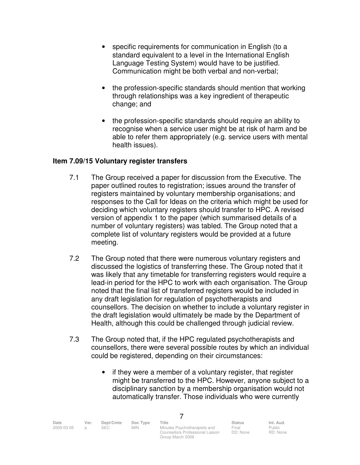- specific requirements for communication in English (to a standard equivalent to a level in the International English Language Testing System) would have to be justified. Communication might be both verbal and non-verbal;
- the profession-specific standards should mention that working through relationships was a key ingredient of therapeutic change; and
- the profession-specific standards should require an ability to recognise when a service user might be at risk of harm and be able to refer them appropriately (e.g. service users with mental health issues).

# **Item 7.09/15 Voluntary register transfers**

- 7.1 The Group received a paper for discussion from the Executive. The paper outlined routes to registration; issues around the transfer of registers maintained by voluntary membership organisations; and responses to the Call for Ideas on the criteria which might be used for deciding which voluntary registers should transfer to HPC. A revised version of appendix 1 to the paper (which summarised details of a number of voluntary registers) was tabled. The Group noted that a complete list of voluntary registers would be provided at a future meeting.
- 7.2 The Group noted that there were numerous voluntary registers and discussed the logistics of transferring these. The Group noted that it was likely that any timetable for transferring registers would require a lead-in period for the HPC to work with each organisation. The Group noted that the final list of transferred registers would be included in any draft legislation for regulation of psychotherapists and counsellors. The decision on whether to include a voluntary register in the draft legislation would ultimately be made by the Department of Health, although this could be challenged through judicial review.
- 7.3 The Group noted that, if the HPC regulated psychotherapists and counsellors, there were several possible routes by which an individual could be registered, depending on their circumstances:

Group March 2009

7

• if they were a member of a voluntary register, that register might be transferred to the HPC. However, anyone subject to a disciplinary sanction by a membership organisation would not automatically transfer. Those individuals who were currently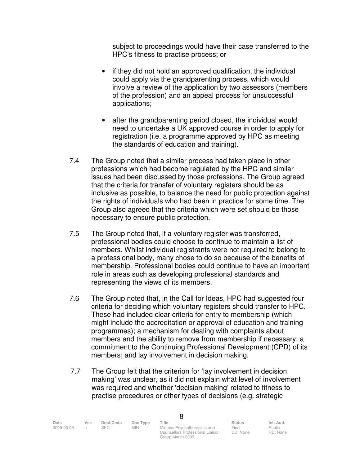subject to proceedings would have their case transferred to the HPC's fitness to practise process; or

- if they did not hold an approved qualification, the individual could apply via the grandparenting process, which would involve a review of the application by two assessors (members of the profession) and an appeal process for unsuccessful applications;
- after the grandparenting period closed, the individual would need to undertake a UK approved course in order to apply for registration (i.e. a programme approved by HPC as meeting the standards of education and training).
- 7.4 The Group noted that a similar process had taken place in other professions which had become regulated by the HPC and similar issues had been discussed by those professions. The Group agreed that the criteria for transfer of voluntary registers should be as inclusive as possible, to balance the need for public protection against the rights of individuals who had been in practice for some time. The Group also agreed that the criteria which were set should be those necessary to ensure public protection.
- 7.5 The Group noted that, if a voluntary register was transferred, professional bodies could choose to continue to maintain a list of members. Whilst individual registrants were not required to belong to a professional body, many chose to do so because of the benefits of membership. Professional bodies could continue to have an important role in areas such as developing professional standards and representing the views of its members.
- 7.6 The Group noted that, in the Call for Ideas, HPC had suggested four criteria for deciding which voluntary registers should transfer to HPC. These had included clear criteria for entry to membership (which might include the accreditation or approval of education and training programmes); a mechanism for dealing with complaints about members and the ability to remove from membership if necessary; a commitment to the Continuing Professional Development (CPD) of its members; and lay involvement in decision making.
- 7.7 The Group felt that the criterion for 'lay involvement in decision making' was unclear, as it did not explain what level of involvement was required and whether 'decision making' related to fitness to practise procedures or other types of decisions (e.g. strategic

| Date       | Ver. | Dept/Cmte | Doc Type   | Title                                                            | <b>Status</b>     | Int. Aud.          |
|------------|------|-----------|------------|------------------------------------------------------------------|-------------------|--------------------|
| 2009-03-05 |      | SEC.      | <b>MIN</b> | Minutes Psychotherapists and<br>Counsellors Professional Liaison | Final<br>DD: None | Public<br>RD: None |

Group March 2009

8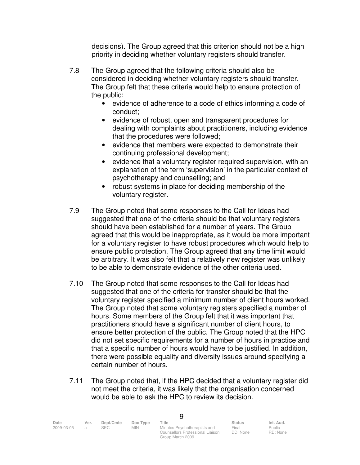decisions). The Group agreed that this criterion should not be a high priority in deciding whether voluntary registers should transfer.

- 7.8 The Group agreed that the following criteria should also be considered in deciding whether voluntary registers should transfer. The Group felt that these criteria would help to ensure protection of the public:
	- evidence of adherence to a code of ethics informing a code of conduct;
	- evidence of robust, open and transparent procedures for dealing with complaints about practitioners, including evidence that the procedures were followed;
	- evidence that members were expected to demonstrate their continuing professional development;
	- evidence that a voluntary register required supervision, with an explanation of the term 'supervision' in the particular context of psychotherapy and counselling; and
	- robust systems in place for deciding membership of the voluntary register.
- 7.9 The Group noted that some responses to the Call for Ideas had suggested that one of the criteria should be that voluntary registers should have been established for a number of years. The Group agreed that this would be inappropriate, as it would be more important for a voluntary register to have robust procedures which would help to ensure public protection. The Group agreed that any time limit would be arbitrary. It was also felt that a relatively new register was unlikely to be able to demonstrate evidence of the other criteria used.
- 7.10 The Group noted that some responses to the Call for Ideas had suggested that one of the criteria for transfer should be that the voluntary register specified a minimum number of client hours worked. The Group noted that some voluntary registers specified a number of hours. Some members of the Group felt that it was important that practitioners should have a significant number of client hours, to ensure better protection of the public. The Group noted that the HPC did not set specific requirements for a number of hours in practice and that a specific number of hours would have to be justified. In addition, there were possible equality and diversity issues around specifying a certain number of hours.
- 7.11 The Group noted that, if the HPC decided that a voluntary register did not meet the criteria, it was likely that the organisation concerned would be able to ask the HPC to review its decision.

| Date       | Ver. | Dept/Cmte | Doc Type   | Title                            | <b>Status</b> | Int. Aud. |
|------------|------|-----------|------------|----------------------------------|---------------|-----------|
| 2009-03-05 |      | SEC.      | <b>MIN</b> | Minutes Psychotherapists and     | Final         | Public    |
|            |      |           |            | Counsellors Professional Liaison | DD: None      | RD: None  |

| w       |   |  |
|---------|---|--|
|         |   |  |
|         |   |  |
|         |   |  |
| ×<br>۰. | r |  |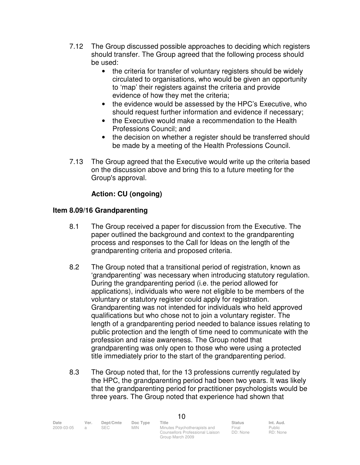- 7.12 The Group discussed possible approaches to deciding which registers should transfer. The Group agreed that the following process should be used:
	- the criteria for transfer of voluntary registers should be widely circulated to organisations, who would be given an opportunity to 'map' their registers against the criteria and provide evidence of how they met the criteria;
	- the evidence would be assessed by the HPC's Executive, who should request further information and evidence if necessary;
	- the Executive would make a recommendation to the Health Professions Council; and
	- the decision on whether a register should be transferred should be made by a meeting of the Health Professions Council.
- 7.13 The Group agreed that the Executive would write up the criteria based on the discussion above and bring this to a future meeting for the Group's approval.

# **Action: CU (ongoing)**

# **Item 8.09/16 Grandparenting**

- 8.1 The Group received a paper for discussion from the Executive. The paper outlined the background and context to the grandparenting process and responses to the Call for Ideas on the length of the grandparenting criteria and proposed criteria.
- 8.2 The Group noted that a transitional period of registration, known as 'grandparenting' was necessary when introducing statutory regulation. During the grandparenting period (i.e. the period allowed for applications), individuals who were not eligible to be members of the voluntary or statutory register could apply for registration. Grandparenting was not intended for individuals who held approved qualifications but who chose not to join a voluntary register. The length of a grandparenting period needed to balance issues relating to public protection and the length of time need to communicate with the profession and raise awareness. The Group noted that grandparenting was only open to those who were using a protected title immediately prior to the start of the grandparenting period.
- 8.3 The Group noted that, for the 13 professions currently regulated by the HPC, the grandparenting period had been two years. It was likely that the grandparenting period for practitioner psychologists would be three years. The Group noted that experience had shown that

| Date       | Ver. | Dept/Cmte | Doc Type   | Title                            | <b>Status</b> | Int. Aud. |
|------------|------|-----------|------------|----------------------------------|---------------|-----------|
| 2009-03-05 |      | SEC.      | <b>MIN</b> | Minutes Psychotherapists and     | Final         | Public    |
|            |      |           |            | Counsellors Professional Liaison | DD: None      | RD: None  |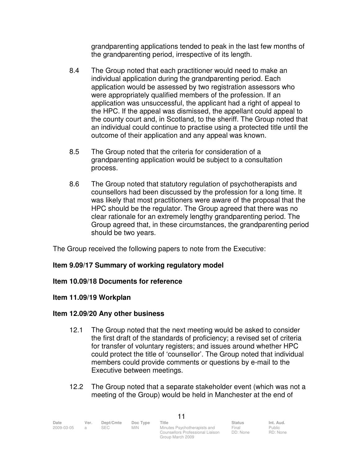grandparenting applications tended to peak in the last few months of the grandparenting period, irrespective of its length.

- 8.4 The Group noted that each practitioner would need to make an individual application during the grandparenting period. Each application would be assessed by two registration assessors who were appropriately qualified members of the profession. If an application was unsuccessful, the applicant had a right of appeal to the HPC. If the appeal was dismissed, the appellant could appeal to the county court and, in Scotland, to the sheriff. The Group noted that an individual could continue to practise using a protected title until the outcome of their application and any appeal was known.
- 8.5 The Group noted that the criteria for consideration of a grandparenting application would be subject to a consultation process.
- 8.6 The Group noted that statutory regulation of psychotherapists and counsellors had been discussed by the profession for a long time. It was likely that most practitioners were aware of the proposal that the HPC should be the regulator. The Group agreed that there was no clear rationale for an extremely lengthy grandparenting period. The Group agreed that, in these circumstances, the grandparenting period should be two years.

The Group received the following papers to note from the Executive:

# **Item 9.09/17 Summary of working regulatory model**

## **Item 10.09/18 Documents for reference**

## **Item 11.09/19 Workplan**

## **Item 12.09/20 Any other business**

- 12.1 The Group noted that the next meeting would be asked to consider the first draft of the standards of proficiency; a revised set of criteria for transfer of voluntary registers; and issues around whether HPC could protect the title of 'counsellor'. The Group noted that individual members could provide comments or questions by e-mail to the Executive between meetings.
- 12.2 The Group noted that a separate stakeholder event (which was not a meeting of the Group) would be held in Manchester at the end of